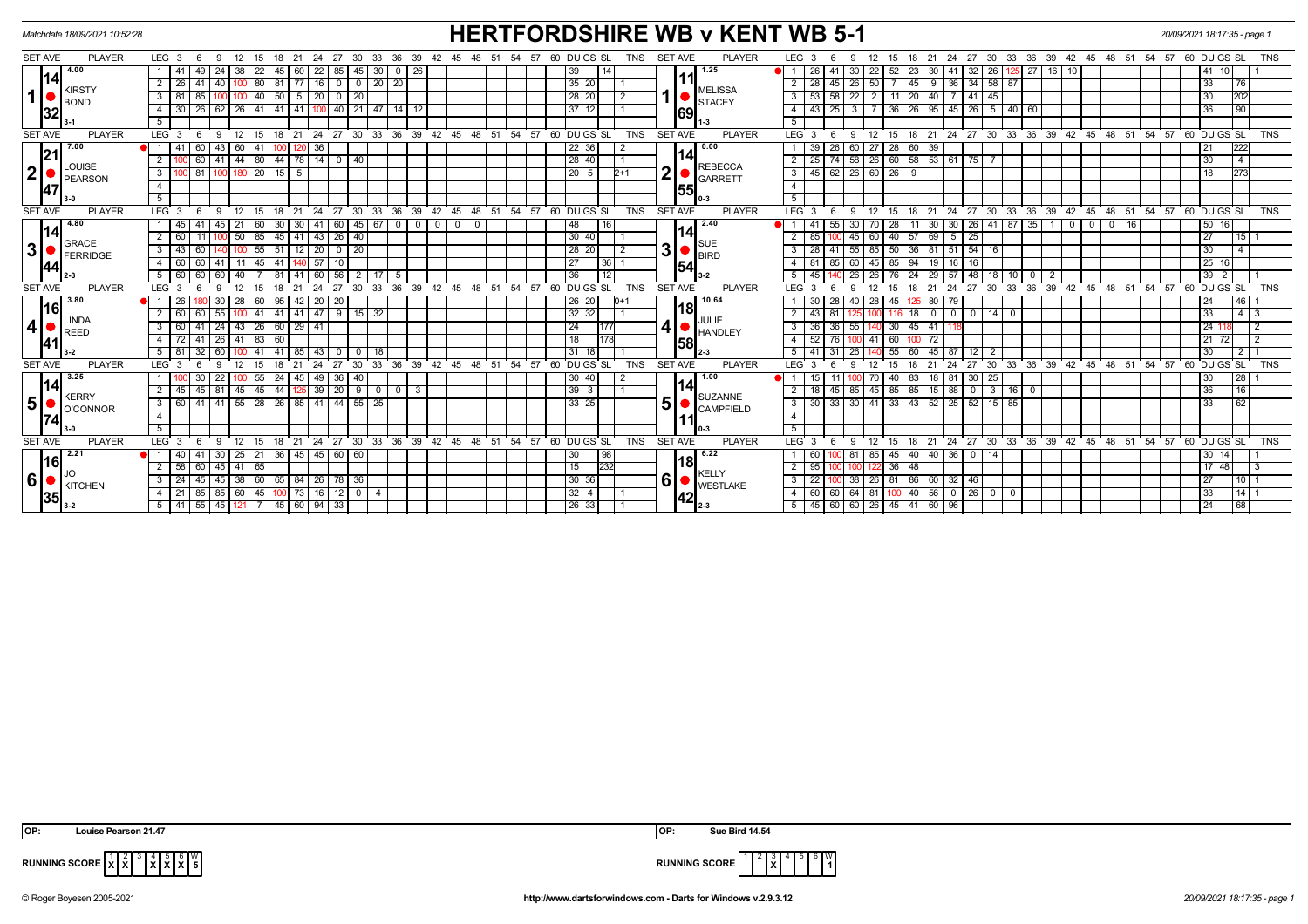| Matchdate 18/09/2021 10:52:28                                         |                                                                                                                          | <b>HERTFORDSHIRE WB v KENT WB 5-1</b>                                                          |                                                                                                                                              | 20/09/2021 18:17:35 - page 1    |
|-----------------------------------------------------------------------|--------------------------------------------------------------------------------------------------------------------------|------------------------------------------------------------------------------------------------|----------------------------------------------------------------------------------------------------------------------------------------------|---------------------------------|
| <b>SET AVE</b><br><b>PLAYER</b>                                       | LEG <sub>3</sub><br>- 9<br>12<br>15 18<br>- 21<br>24 27<br>30<br>33<br>- 36<br>-39<br>- 6<br>42                          | <b>PLAYER</b><br>60 DU GS SL<br><b>SET AVE</b><br>54<br><b>TNS</b><br>45<br>-48<br>- 51<br>-57 | LEG <sub>3</sub><br>33 36 39 42 45 48 51 54 57 60 DUGS SL<br>24<br>27<br>30<br>12<br>15<br>18<br>- 21                                        | <b>TNS</b>                      |
| 4.00<br>l14<br><b>KIRSTY</b><br>1  <br><b>BOND</b><br> 32             | 22<br>30<br>22<br>85<br>26<br>49<br>24<br>38<br>45 I<br>$\mathbf{0}$<br>45<br>60                                         | 1.25<br>39                                                                                     | 26<br>27<br>10<br>30<br>22<br>52<br>32<br>16<br>41<br>23<br>30<br>41<br>26                                                                   | 41   10                         |
|                                                                       | $0$   0   20   20<br>80   81   77   16  <br>$\overline{2}$<br>26   41<br>40 l                                            | 35 20                                                                                          | $2 \mid 28$<br>$9 \mid 36$<br>34   58<br>45<br>26 50<br>$-45$<br>87                                                                          | 33<br> 76                       |
|                                                                       | 40 50 5 20<br>$0 \mid 20$<br>3 <sup>1</sup><br>81<br>85                                                                  | <b>MELISSA</b><br>1<br>28 20<br><b>STACEY</b>                                                  | $3 \mid 53$<br>58<br>$\overline{22}$<br>$\overline{2}$<br>11<br>$\sqrt{20}$<br>$40$ 7<br>$41 \mid 45$                                        | 30<br>202                       |
|                                                                       | $41$   $41$   $41$   $41$<br>$\overline{4}$<br>$30 \mid 26$<br>$40$   21   47<br>62   26<br>14<br>12<br>100              | 37   12  <br>69                                                                                | 25<br>36<br>$95 \mid 45 \mid 26 \mid 5 \mid 40 \mid 60$<br>43<br>26<br>4 <sup>1</sup><br>3 I                                                 | 36<br> 90                       |
|                                                                       | 5                                                                                                                        |                                                                                                | 5                                                                                                                                            |                                 |
| <b>PLAYER</b><br><b>SET AVE</b>                                       | $24$ 27 30 33 36 39 42<br>LEG <sup>3</sup><br>9<br>12<br>21<br>18<br>-6<br>15                                            | 48<br>້ 51<br>54<br>57<br>60 DUGS SL<br><b>TNS</b><br><b>SET AVE</b><br><b>PLAYER</b><br>45    | LEG <sub>3</sub><br>24 27 30 33 36<br>39<br>$42 \quad 45 \quad 48 \quad 51$<br>54<br>18<br>21<br>9<br>12<br>15                               | 57<br>60 DUGS SL<br><b>TNS</b>  |
| 7.00                                                                  | 36<br>43<br>41                                                                                                           | 0.00<br>22 36                                                                                  | 39<br>26<br>27<br>28<br>39<br>60                                                                                                             | 222<br>21                       |
| 21<br>LOUISE<br>2 <sup>1</sup><br><b>PEARSON</b><br><b>47</b>         | $41 \mid 44 \mid 80 \mid$<br>44 78 14 0 40<br>$\overline{2}$<br>60                                                       | 114<br>28 40<br><b>REBECCA</b>                                                                 | $58 \overline{26}$<br>$\boxed{60}$ 58 53 61 75<br>$2 \mid 25$<br>74                                                                          | 30<br>$\overline{4}$            |
|                                                                       | $20$ 15 5<br>$\overline{\mathbf{3}}$<br>$ 00 $ 81<br>100 180                                                             | $\mathbf 2$<br>$20$ 5<br>$2+1$<br><b>GARRETT</b>                                               | 62<br>$26 \ 60 \ 26$<br>$3 \mid 45$<br>9                                                                                                     | $\overline{273}$<br>18          |
|                                                                       | $\overline{4}$                                                                                                           | 55                                                                                             | $\overline{4}$                                                                                                                               |                                 |
|                                                                       | 5                                                                                                                        | 0-3                                                                                            | 5                                                                                                                                            |                                 |
| <b>PLAYER</b><br><b>SET AVE</b>                                       | $\cdot$ 24<br>$\frac{1}{27}$<br>30 33<br>$LEG_3$<br>9<br>$^{\circ}$ 12<br>15<br>$^{\circ}$ 21<br>- 6<br>18               | $36$ 39 42 45 48 51<br>54 57 60 DUGS SL<br><b>TNS</b><br><b>SET AVE</b><br><b>PLAYER</b>       | LEG <sub>3</sub><br>$24 \quad 27$<br>$30^{\circ}$<br>33<br>36<br>39 42 45 48 51 54 57 60 DUGS SL<br>9<br>$^{\circ}$ 12<br>15<br>$18$ 21<br>6 | <b>TNS</b>                      |
| 4.80                                                                  | 60   45   67<br>$0$ 0<br>45 I<br>41<br>60<br>30<br>41<br>$\overline{0}$<br>45<br>-30 I                                   | 2.40<br>$\mathbf 0$<br>  48  <br>$\mathbf 0$                                                   | $30 \mid 30 \mid 26 \mid 41 \mid 87 \mid 35$<br>28<br>$\overline{0}$<br>$0$ 0<br>41<br>55<br>16<br>30 I<br>70                                | 50 16                           |
| 14                                                                    | $\overline{2}$<br>85<br>$141$ 43<br>60<br>50<br>45<br>$26 \mid 40$                                                       | 14<br>30 40                                                                                    | 85<br>40<br>69<br>25<br>$\overline{2}$<br>45 60<br>57<br>5                                                                                   | $\overline{27}$<br>$115$ 1      |
| <b>GRACE</b><br> 3 <br>FERRIDGE                                       | 55<br>$\overline{\mathbf{3}}$<br>$12 \mid 20$<br>$0 \mid 20$<br>43<br>60<br>51                                           | <b>SUE</b><br>3 • <br>28 20<br>$\overline{2}$<br>BIRD                                          | $54$ 16<br>$3 \mid 28$<br>$-41$<br>$55 \ 85$<br>50<br>36<br>$81$ 51                                                                          | 30<br>$\overline{4}$            |
| 144                                                                   | 45  <br>$ 40 $ 57<br>4 60 60<br>41<br>10<br>41   11                                                                      | 27<br>$\overline{36}$ 1<br>154                                                                 | $4 \mid 81$<br>60 45 85 94<br>19 16 16<br>85                                                                                                 | $\sqrt{25}$ 16                  |
|                                                                       | 5   60   60<br>$141$ 60<br>$56$   2<br>60   40  <br>17<br>-81<br>- 5                                                     | 36<br>$\overline{112}$<br>$3-2$                                                                | $5 \mid 45$<br>$26 \mid 26$<br>76<br>$24$ 29 57<br>$48$   18<br>10<br>$\Omega$                                                               | $39$ $2$                        |
| <b>SET AVE</b><br><b>PLAYER</b>                                       | 27<br>30 33<br>$LEG$ 3<br>$\mathbf{q}$<br>12<br>15<br>18<br>21<br>24<br>6                                                | 36 39 42 45 48 51<br>54 57<br>60 DU GS SL<br><b>TNS</b><br><b>SET AVE</b><br><b>PLAYER</b>     | 24<br>27<br>$30^{\circ}$<br>33 36 39<br>$42$ 45 48 51 54 57<br>LEG <sub>3</sub><br>12<br>15<br>18<br>21<br>q                                 | 60 DUGS SL<br><b>TNS</b>        |
| 3.80                                                                  | 26<br>28<br>60 I<br>$95 \mid 42 \mid$<br>20 20<br>O 11<br>30 I                                                           | 10.64<br>26 20<br>$D+1$                                                                        | 30<br>28<br>28<br>45<br>80 79<br>40 I                                                                                                        | 24<br> 46                       |
| l16l<br>LINDA<br>4 <br>REED<br><b>141</b>                             | $141$ 47<br>$\overline{2}$<br>$9$ 15 32<br>60 l<br>55<br>41 I<br>41<br>60                                                | 18 <br>$32 \mid 32 \mid$<br>JULIE                                                              | 43<br>$^{\circ}$<br>$\overline{0}$<br>0 1 1 4 1<br>$\mathbf 0$<br>18                                                                         | 33<br>$4 \mid 3$                |
|                                                                       | 26<br>3<br>60<br>24<br>60 29 41<br>41<br>43                                                                              | 24 <sub>1</sub><br>1177<br>HANDLEY                                                             | 30<br>36<br>36<br>45<br>41<br>3<br>55                                                                                                        | 24<br>2                         |
|                                                                       | 83<br>4<br>72<br>41<br>26<br>  41<br>60                                                                                  | 18 <sup>1</sup><br>58                                                                          | 52<br>60<br>72<br>$\overline{4}$<br>76                                                                                                       | 21 72<br>2                      |
|                                                                       | 5<br>81<br>32<br>41<br>43<br>$\Omega$<br>$\Omega$<br>18                                                                  | 31 18<br>2-3                                                                                   | 41<br>31<br>55<br>45<br>87<br>12 I<br>5<br>60<br>$\overline{2}$                                                                              | 30<br>2   1                     |
| <b>SET AVE</b><br><b>PLAYER</b>                                       | 36<br>39<br>LEG <sub>3</sub><br>33<br>42<br>27<br>30                                                                     | <b>TNS</b><br>48<br>51<br>54<br>57<br>60 DU GS SL<br><b>SET AVE</b><br><b>PLAYER</b><br>45     | 33<br>36<br>39<br>$45 \quad 48 \quad 51$<br>$-54$<br>LEG <sup>1</sup><br>30<br>42<br>24<br>27                                                | 57<br>60 DU GS SL<br><b>TNS</b> |
| 3.25                                                                  | 55<br>49 36 40<br>30<br>22<br>24<br>l 45 l                                                                               | 1.00<br>$30 40 $                                                                               | 18 81<br>$30 \mid 25$<br>15<br>40<br>83<br>70                                                                                                | 30<br> 28                       |
| <u> 14</u><br><b>KERRY</b><br>5 <sup>1</sup><br>O'CONNOR<br><b>74</b> | 45<br>$\overline{2}$<br>45<br>81<br>44<br>$125$ 39<br>$20 \mid 9 \mid 0$<br>45<br> 45 <br>$\mathbf{3}$<br>$\overline{0}$ | $39 \mid 3 \mid$<br>SUZANNE                                                                    | 45<br>85<br>45<br>85<br>85<br>$15$ 88<br>$3 \mid 16 \mid$<br>2<br>18<br>$\overline{\phantom{0}}$<br>$\overline{\mathbf{0}}$                  | 36<br>16                        |
|                                                                       | 28   26   85   41   44   55   25<br>3   60   41  <br>$41 \mid 55 \mid$                                                   | 5 <sup>1</sup><br> 33 25 <br><b>CAMPFIELD</b>                                                  | $33 \mid 43 \mid 52 \mid 25$<br>30<br>33<br>$30 \mid 41$<br>$52$   15<br>85<br>3                                                             | 33<br>62                        |
|                                                                       | $\overline{4}$                                                                                                           |                                                                                                | $\overline{4}$                                                                                                                               |                                 |
|                                                                       | 5 <sup>5</sup>                                                                                                           |                                                                                                | 5                                                                                                                                            |                                 |
| <b>SET AVE</b><br><b>PLAYER</b>                                       | $21$ 24 27 30 33 36 39 42<br>LEG <sub>3</sub><br>-9<br>$\overline{12}$<br>15<br>18<br>6                                  | <b>PLAYER</b><br>.45<br>ີ 48<br>51<br>54 57<br>60 DU GS SL<br><b>TNS</b><br><b>SET AVE</b>     | LEG <sub>3</sub><br>24 27<br>30 33 36 39 42 45 48 51 54 57<br>12<br>15<br>18<br>$^{\circ}$ 21<br>9                                           | 60 DUGS SL<br><b>TNS</b>        |
| 2.21<br><u> 16</u><br>6 <sup>1</sup><br>KITCHEN<br>35                 | 36 45 45 60 60<br>●I 1 I<br>40 I<br>25<br>21 I<br>41<br>30                                                               | 6.22<br> 30 <br><b>98</b><br> 18                                                               | 40 36<br>$0\sqrt{14}$<br>60<br>45<br>40<br>81 I<br>85                                                                                        | 30   14                         |
|                                                                       | 2 58 60<br>$45$   41   65                                                                                                | $\overline{232}$<br>15<br><b>KELLY</b>                                                         | $2 \mid 95$<br>36<br>$\overline{148}$                                                                                                        | 17   48  <br>$\overline{3}$     |
|                                                                       | 60<br>$3 \mid 24 \mid 45 \mid$<br>$45 \mid 38 \mid$<br>65   84   26  <br>78 I 36                                         | -61<br> 30 36 <br><b>WESTLAKE</b>                                                              | $3 \mid 22$<br>38 26 81 86<br>60 32 46                                                                                                       | 27<br>11011                     |
|                                                                       | 85 60<br>45<br>16<br>$12$ $0$ $4$<br>4 I<br>21 I<br>85<br>73 I                                                           | $32 \mid 4 \mid$<br>42                                                                         | 56 0 26 0 0<br>$4 \overline{60}$<br>64 81<br>$\sqrt{40}$<br>60<br>100                                                                        | 33<br>$14$ 1                    |
|                                                                       | $5 \mid 41 \mid 55 \mid$<br>45 121<br>$ 45 $ 60   94   33                                                                | 26 33 <br>$2 - 3$                                                                              | 60 26 45 41 60 96<br>$5 \t 45 \t 60$                                                                                                         | 24<br> 68                       |

 4 **X X X**  $\vert$  5



**RUNNING SCORE**  $\begin{bmatrix} 1 \\ \mathbf{X} \end{bmatrix} \begin{bmatrix} 2 \\ \mathbf{X} \end{bmatrix}$